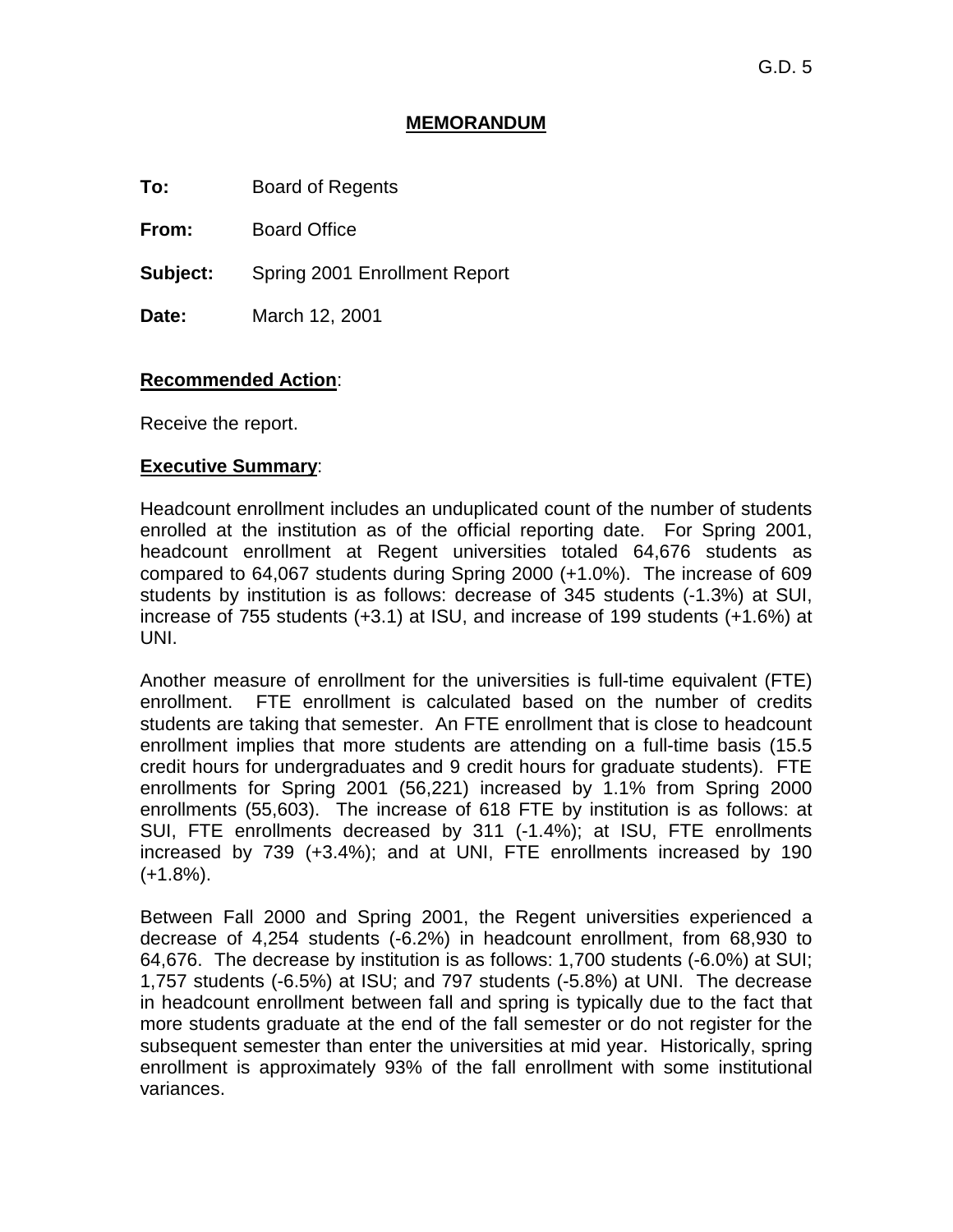### **MEMORANDUM**

**To:** Board of Regents

**From:** Board Office

**Subject:** Spring 2001 Enrollment Report

**Date:** March 12, 2001

# **Recommended Action**:

Receive the report.

# **Executive Summary**:

Headcount enrollment includes an unduplicated count of the number of students enrolled at the institution as of the official reporting date. For Spring 2001, headcount enrollment at Regent universities totaled 64,676 students as compared to 64,067 students during Spring 2000 (+1.0%). The increase of 609 students by institution is as follows: decrease of 345 students (-1.3%) at SUI, increase of 755 students (+3.1) at ISU, and increase of 199 students (+1.6%) at UNI.

Another measure of enrollment for the universities is full-time equivalent (FTE) enrollment. FTE enrollment is calculated based on the number of credits students are taking that semester. An FTE enrollment that is close to headcount enrollment implies that more students are attending on a full-time basis (15.5 credit hours for undergraduates and 9 credit hours for graduate students). FTE enrollments for Spring 2001 (56,221) increased by 1.1% from Spring 2000 enrollments (55,603). The increase of 618 FTE by institution is as follows: at SUI, FTE enrollments decreased by 311 (-1.4%); at ISU, FTE enrollments increased by 739 (+3.4%); and at UNI, FTE enrollments increased by 190  $(+1.8\%)$ .

Between Fall 2000 and Spring 2001, the Regent universities experienced a decrease of 4,254 students (-6.2%) in headcount enrollment, from 68,930 to 64,676. The decrease by institution is as follows: 1,700 students (-6.0%) at SUI; 1,757 students (-6.5%) at ISU; and 797 students (-5.8%) at UNI. The decrease in headcount enrollment between fall and spring is typically due to the fact that more students graduate at the end of the fall semester or do not register for the subsequent semester than enter the universities at mid year. Historically, spring enrollment is approximately 93% of the fall enrollment with some institutional variances.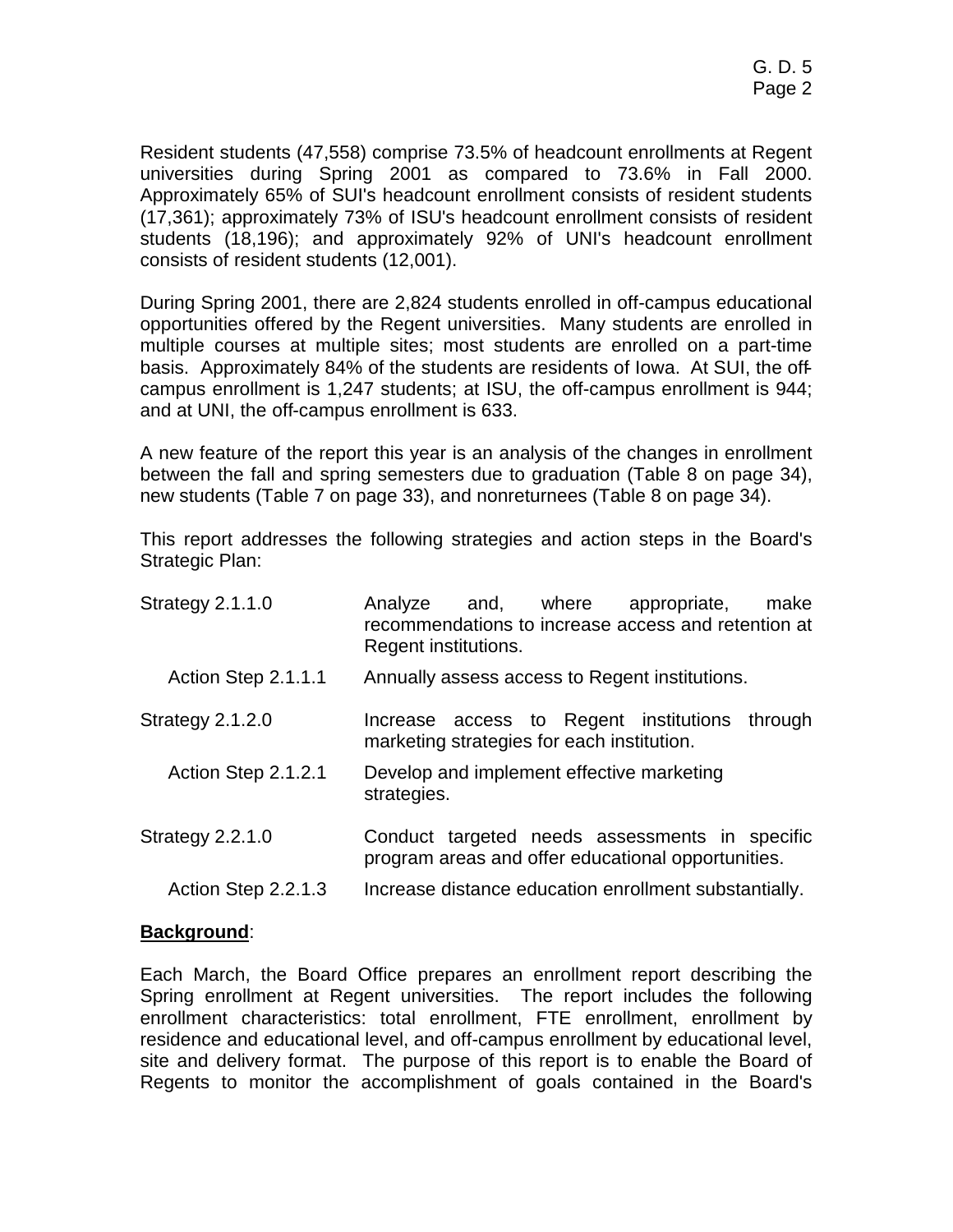Resident students (47,558) comprise 73.5% of headcount enrollments at Regent universities during Spring 2001 as compared to 73.6% in Fall 2000. Approximately 65% of SUI's headcount enrollment consists of resident students (17,361); approximately 73% of ISU's headcount enrollment consists of resident students (18,196); and approximately 92% of UNI's headcount enrollment consists of resident students (12,001).

During Spring 2001, there are 2,824 students enrolled in off-campus educational opportunities offered by the Regent universities. Many students are enrolled in multiple courses at multiple sites; most students are enrolled on a part-time basis. Approximately 84% of the students are residents of Iowa. At SUI, the offcampus enrollment is 1,247 students; at ISU, the off-campus enrollment is 944; and at UNI, the off-campus enrollment is 633.

A new feature of the report this year is an analysis of the changes in enrollment between the fall and spring semesters due to graduation (Table 8 on page 34), new students (Table 7 on page 33), and nonreturnees (Table 8 on page 34).

This report addresses the following strategies and action steps in the Board's Strategic Plan:

| Strategy $2.1.1.0$  | and, where<br>Analyze<br>appropriate,<br>make<br>recommendations to increase access and retention at<br>Regent institutions. |
|---------------------|------------------------------------------------------------------------------------------------------------------------------|
| Action Step 2.1.1.1 | Annually assess access to Regent institutions.                                                                               |
| Strategy 2.1.2.0    | Increase access to Regent institutions<br>through<br>marketing strategies for each institution.                              |
| Action Step 2.1.2.1 | Develop and implement effective marketing<br>strategies.                                                                     |
| Strategy $2.2.1.0$  | Conduct targeted needs assessments in specific<br>program areas and offer educational opportunities.                         |
| Action Step 2.2.1.3 | Increase distance education enrollment substantially.                                                                        |

# **Background**:

Each March, the Board Office prepares an enrollment report describing the Spring enrollment at Regent universities. The report includes the following enrollment characteristics: total enrollment, FTE enrollment, enrollment by residence and educational level, and off-campus enrollment by educational level, site and delivery format. The purpose of this report is to enable the Board of Regents to monitor the accomplishment of goals contained in the Board's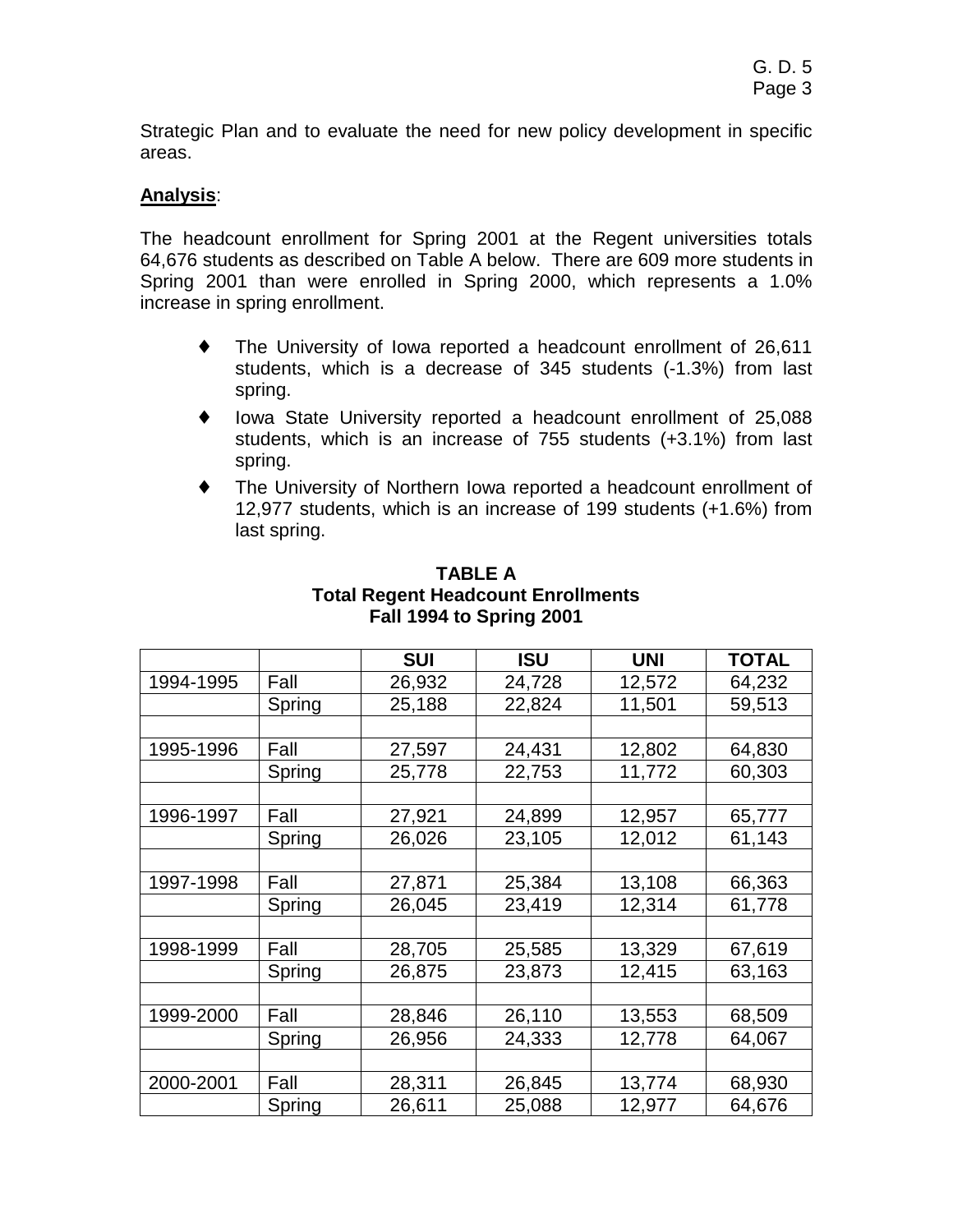Strategic Plan and to evaluate the need for new policy development in specific areas.

# **Analysis**:

The headcount enrollment for Spring 2001 at the Regent universities totals 64,676 students as described on Table A below. There are 609 more students in Spring 2001 than were enrolled in Spring 2000, which represents a 1.0% increase in spring enrollment.

- ♦ The University of Iowa reported a headcount enrollment of 26,611 students, which is a decrease of 345 students (-1.3%) from last spring.
- ♦ Iowa State University reported a headcount enrollment of 25,088 students, which is an increase of 755 students (+3.1%) from last spring.
- ♦ The University of Northern Iowa reported a headcount enrollment of 12,977 students, which is an increase of 199 students (+1.6%) from last spring.

|           |        | <b>SUI</b> | <b>ISU</b> | <b>UNI</b> | TOTAL  |
|-----------|--------|------------|------------|------------|--------|
| 1994-1995 | Fall   | 26,932     | 24,728     | 12,572     | 64,232 |
|           | Spring | 25,188     | 22,824     | 11,501     | 59,513 |
|           |        |            |            |            |        |
| 1995-1996 | Fall   | 27,597     | 24,431     | 12,802     | 64,830 |
|           | Spring | 25,778     | 22,753     | 11,772     | 60,303 |
|           |        |            |            |            |        |
| 1996-1997 | Fall   | 27,921     | 24,899     | 12,957     | 65,777 |
|           | Spring | 26,026     | 23,105     | 12,012     | 61,143 |
|           |        |            |            |            |        |
| 1997-1998 | Fall   | 27,871     | 25,384     | 13,108     | 66,363 |
|           | Spring | 26,045     | 23,419     | 12,314     | 61,778 |
|           |        |            |            |            |        |
| 1998-1999 | Fall   | 28,705     | 25,585     | 13,329     | 67,619 |
|           | Spring | 26,875     | 23,873     | 12,415     | 63,163 |
|           |        |            |            |            |        |
| 1999-2000 | Fall   | 28,846     | 26,110     | 13,553     | 68,509 |
|           | Spring | 26,956     | 24,333     | 12,778     | 64,067 |
|           |        |            |            |            |        |
| 2000-2001 | Fall   | 28,311     | 26,845     | 13,774     | 68,930 |
|           | Spring | 26,611     | 25,088     | 12,977     | 64,676 |

### **TABLE A Total Regent Headcount Enrollments Fall 1994 to Spring 2001**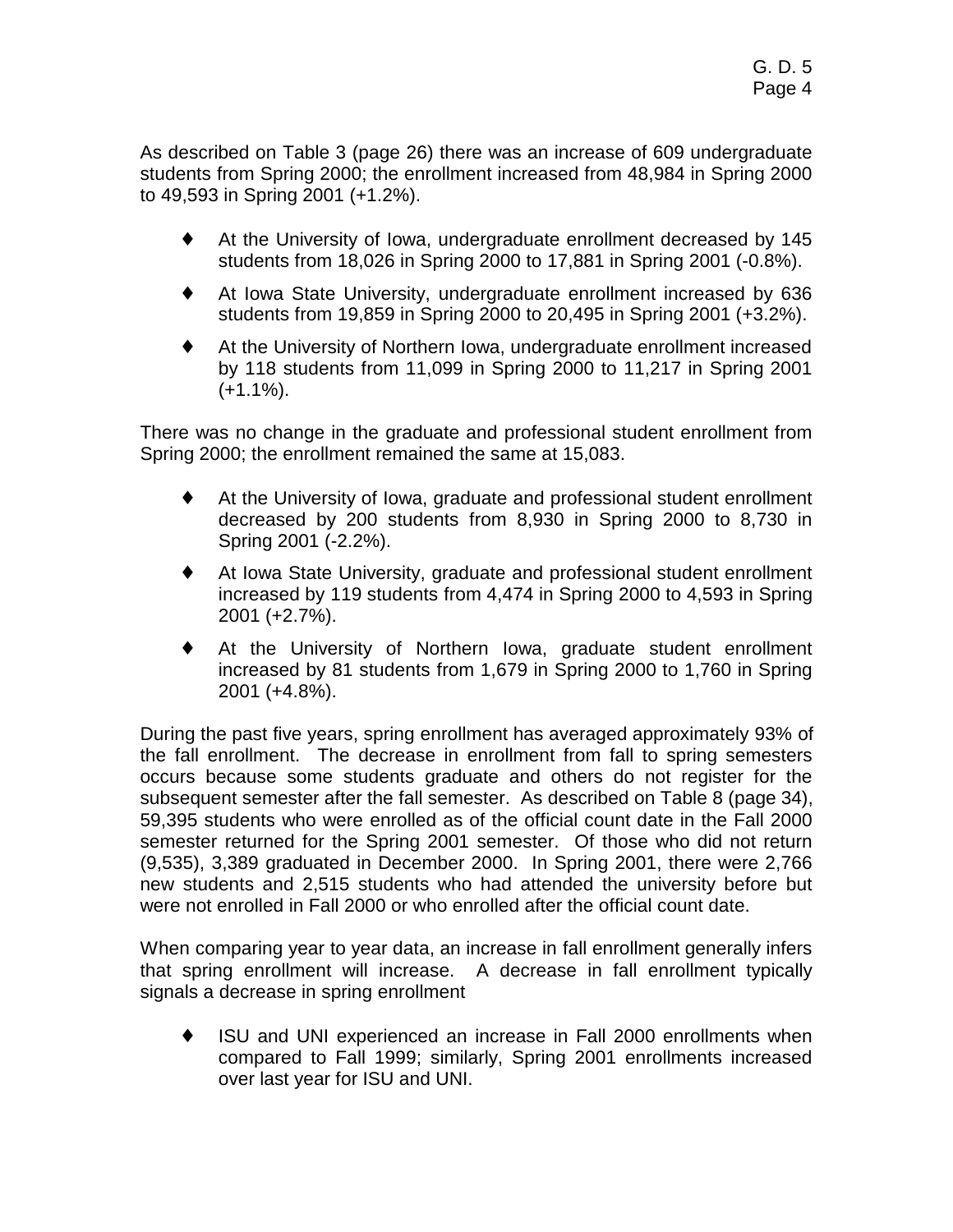As described on Table 3 (page 26) there was an increase of 609 undergraduate students from Spring 2000; the enrollment increased from 48,984 in Spring 2000 to 49,593 in Spring 2001 (+1.2%).

- ♦ At the University of Iowa, undergraduate enrollment decreased by 145 students from 18,026 in Spring 2000 to 17,881 in Spring 2001 (-0.8%).
- ♦ At Iowa State University, undergraduate enrollment increased by 636 students from 19,859 in Spring 2000 to 20,495 in Spring 2001 (+3.2%).
- ♦ At the University of Northern Iowa, undergraduate enrollment increased by 118 students from 11,099 in Spring 2000 to 11,217 in Spring 2001  $(+1.1\%)$ .

There was no change in the graduate and professional student enrollment from Spring 2000; the enrollment remained the same at 15,083.

- ♦ At the University of Iowa, graduate and professional student enrollment decreased by 200 students from 8,930 in Spring 2000 to 8,730 in Spring 2001 (-2.2%).
- ♦ At Iowa State University, graduate and professional student enrollment increased by 119 students from 4,474 in Spring 2000 to 4,593 in Spring 2001 (+2.7%).
- ♦ At the University of Northern Iowa, graduate student enrollment increased by 81 students from 1,679 in Spring 2000 to 1,760 in Spring 2001 (+4.8%).

During the past five years, spring enrollment has averaged approximately 93% of the fall enrollment. The decrease in enrollment from fall to spring semesters occurs because some students graduate and others do not register for the subsequent semester after the fall semester. As described on Table 8 (page 34), 59,395 students who were enrolled as of the official count date in the Fall 2000 semester returned for the Spring 2001 semester. Of those who did not return (9,535), 3,389 graduated in December 2000. In Spring 2001, there were 2,766 new students and 2,515 students who had attended the university before but were not enrolled in Fall 2000 or who enrolled after the official count date.

When comparing year to year data, an increase in fall enrollment generally infers that spring enrollment will increase. A decrease in fall enrollment typically signals a decrease in spring enrollment

♦ ISU and UNI experienced an increase in Fall 2000 enrollments when compared to Fall 1999; similarly, Spring 2001 enrollments increased over last year for ISU and UNI.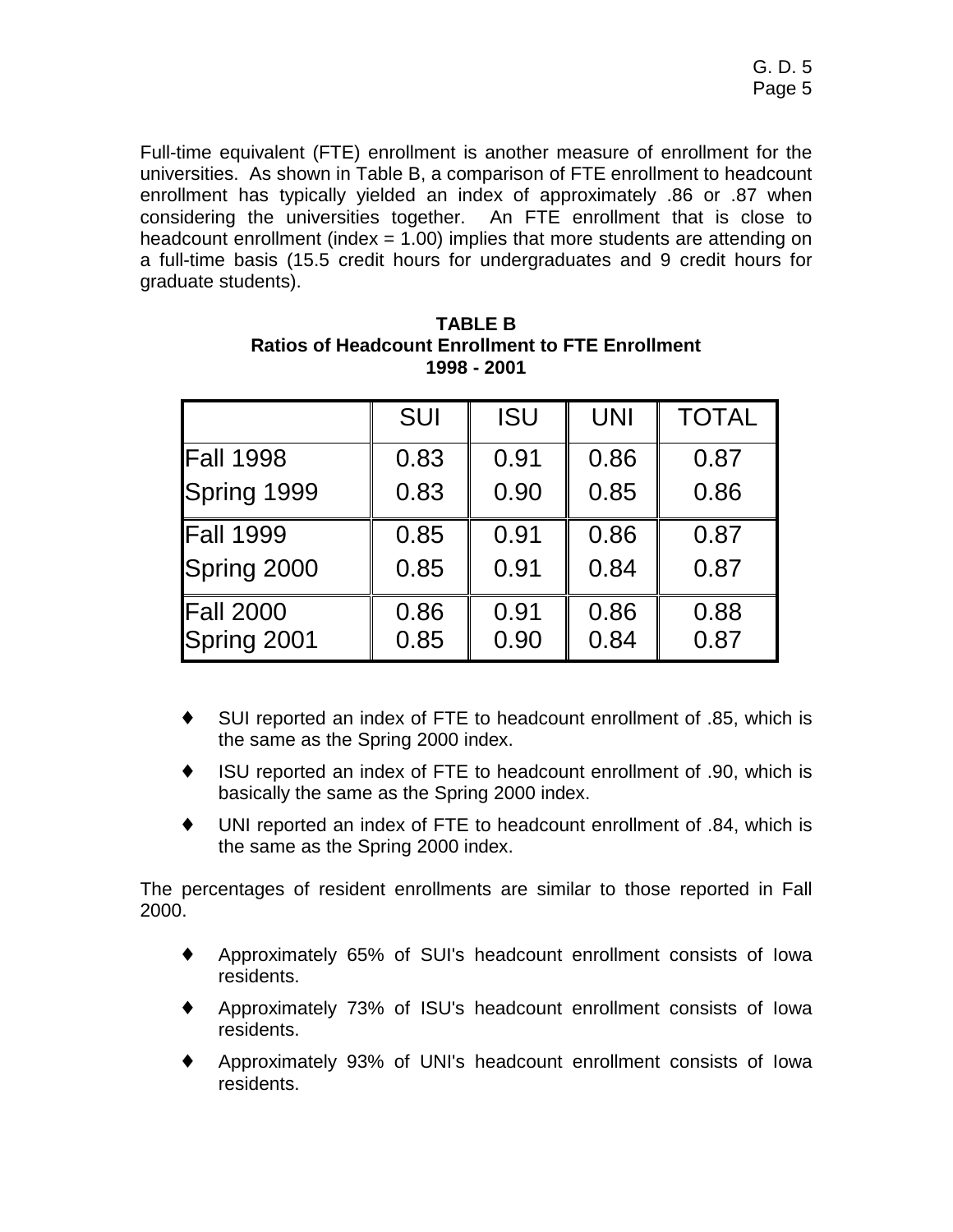Full-time equivalent (FTE) enrollment is another measure of enrollment for the universities. As shown in Table B, a comparison of FTE enrollment to headcount enrollment has typically yielded an index of approximately .86 or .87 when considering the universities together. An FTE enrollment that is close to headcount enrollment (index  $= 1.00$ ) implies that more students are attending on a full-time basis (15.5 credit hours for undergraduates and 9 credit hours for graduate students).

| <b>SUI</b> | <b>ISU</b> | <b>UNI</b> | <b>TOTAL</b> |
|------------|------------|------------|--------------|
| 0.83       | 0.91       | 0.86       | 0.87         |
| 0.83       | 0.90       | 0.85       | 0.86         |
| 0.85       | 0.91       | 0.86       | 0.87         |
| 0.85       | 0.91       | 0.84       | 0.87         |
| 0.86       | 0.91       | 0.86       | 0.88         |
| 0.85       | 0.90       | 0.84       | 0.87         |
|            |            |            |              |

**TABLE B Ratios of Headcount Enrollment to FTE Enrollment 1998 - 2001** 

- ♦ SUI reported an index of FTE to headcount enrollment of .85, which is the same as the Spring 2000 index.
- ♦ ISU reported an index of FTE to headcount enrollment of .90, which is basically the same as the Spring 2000 index.
- ♦ UNI reported an index of FTE to headcount enrollment of .84, which is the same as the Spring 2000 index.

The percentages of resident enrollments are similar to those reported in Fall 2000.

- ♦ Approximately 65% of SUI's headcount enrollment consists of Iowa residents.
- ♦ Approximately 73% of ISU's headcount enrollment consists of Iowa residents.
- Approximately 93% of UNI's headcount enrollment consists of Iowa residents.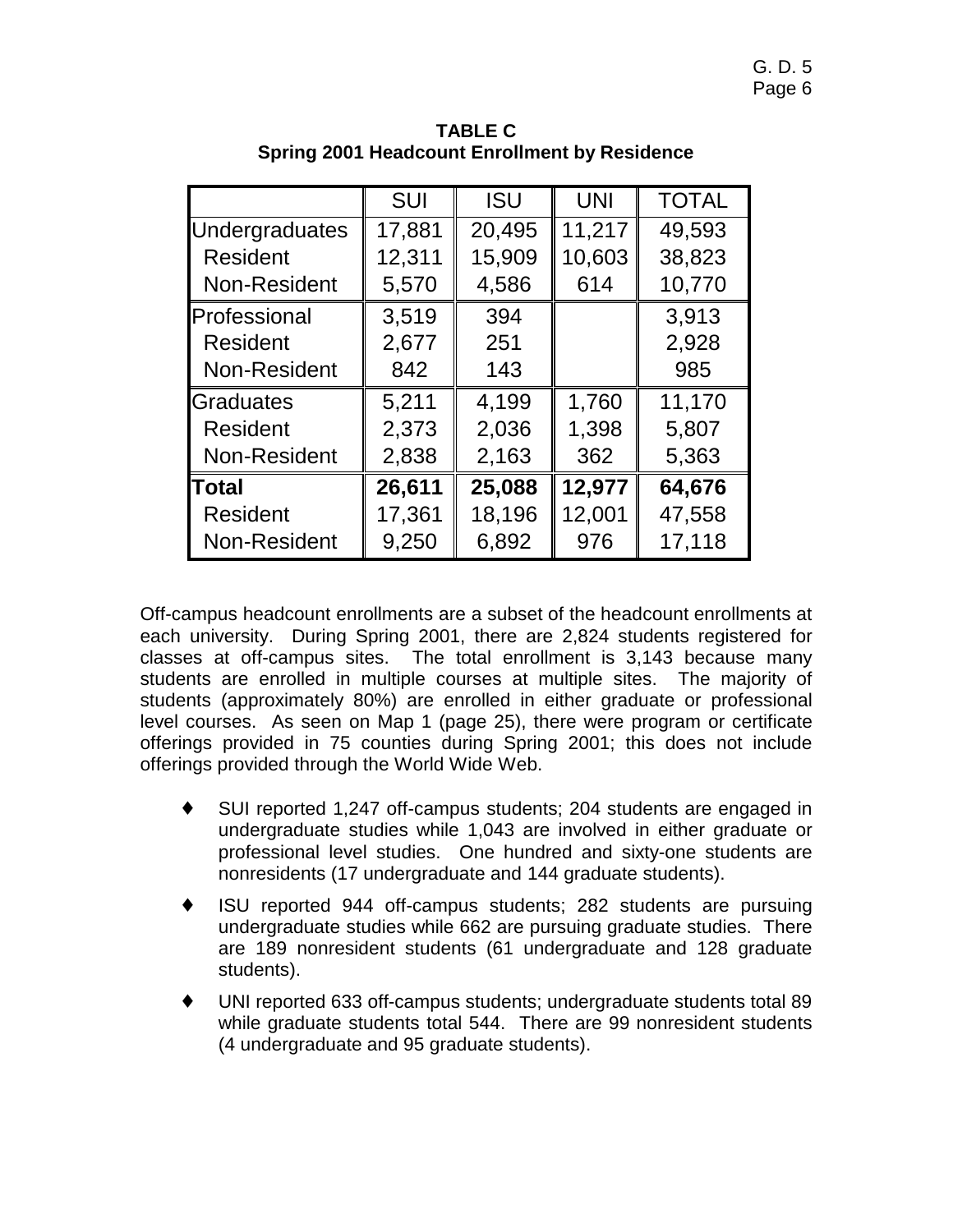|                       | <b>SUI</b> | <b>ISU</b> | <b>UNI</b> | <b>TOTAL</b> |
|-----------------------|------------|------------|------------|--------------|
| <b>Undergraduates</b> | 17,881     | 20,495     | 11,217     | 49,593       |
| <b>Resident</b>       | 12,311     | 15,909     | 10,603     | 38,823       |
| Non-Resident          | 5,570      | 4,586      | 614        | 10,770       |
| Professional          | 3,519      | 394        |            | 3,913        |
| Resident              | 2,677      | 251        |            | 2,928        |
| Non-Resident          | 842        | 143        |            | 985          |
| Graduates             | 5,211      | 4,199      | 1,760      | 11,170       |
| <b>Resident</b>       | 2,373      | 2,036      | 1,398      | 5,807        |
| Non-Resident          | 2,838      | 2,163      | 362        | 5,363        |
| <b>Total</b>          | 26,611     | 25,088     | 12,977     | 64,676       |
| <b>Resident</b>       | 17,361     | 18,196     | 12,001     | 47,558       |
| Non-Resident          | 9,250      | 6,892      | 976        | 17,118       |

**TABLE C Spring 2001 Headcount Enrollment by Residence** 

Off-campus headcount enrollments are a subset of the headcount enrollments at each university. During Spring 2001, there are 2,824 students registered for classes at off-campus sites. The total enrollment is 3,143 because many students are enrolled in multiple courses at multiple sites. The majority of students (approximately 80%) are enrolled in either graduate or professional level courses. As seen on Map 1 (page 25), there were program or certificate offerings provided in 75 counties during Spring 2001; this does not include offerings provided through the World Wide Web.

- ♦ SUI reported 1,247 off-campus students; 204 students are engaged in undergraduate studies while 1,043 are involved in either graduate or professional level studies. One hundred and sixty-one students are nonresidents (17 undergraduate and 144 graduate students).
- ♦ ISU reported 944 off-campus students; 282 students are pursuing undergraduate studies while 662 are pursuing graduate studies. There are 189 nonresident students (61 undergraduate and 128 graduate students).
- ♦ UNI reported 633 off-campus students; undergraduate students total 89 while graduate students total 544. There are 99 nonresident students (4 undergraduate and 95 graduate students).